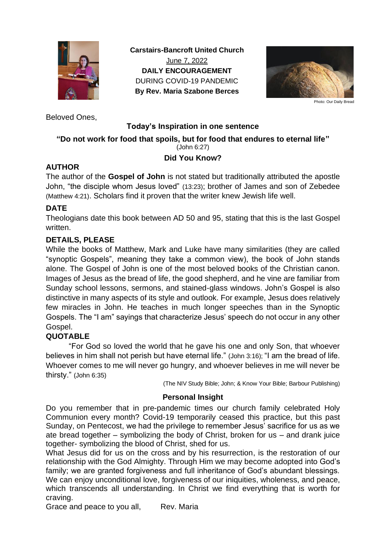

**Carstairs-Bancroft United Church** June 7, 2022 **DAILY ENCOURAGEMENT** DURING COVID-19 PANDEMIC **By Rev. Maria Szabone Berces**



Photo: Our Daily Bread

Beloved Ones,

## **Today's Inspiration in one sentence**

## **"Do not work for food that spoils, but for food that endures to eternal life"** (John 6:27)

# **Did You Know?**

# **AUTHOR**

The author of the **Gospel of John** is not stated but traditionally attributed the apostle John, "the disciple whom Jesus loved" (13:23); brother of James and son of Zebedee (Matthew 4:21). Scholars find it proven that the writer knew Jewish life well.

# **DATE**

Theologians date this book between AD 50 and 95, stating that this is the last Gospel written.

## **DETAILS, PLEASE**

While the books of Matthew, Mark and Luke have many similarities (they are called "synoptic Gospels", meaning they take a common view), the book of John stands alone. The Gospel of John is one of the most beloved books of the Christian canon. Images of Jesus as the bread of life, the good shepherd, and he vine are familiar from Sunday school lessons, sermons, and stained-glass windows. John's Gospel is also distinctive in many aspects of its style and outlook. For example, Jesus does relatively few miracles in John. He teaches in much longer speeches than in the Synoptic Gospels. The "I am" sayings that characterize Jesus' speech do not occur in any other Gospel.

# **QUOTABLE**

"For God so loved the world that he gave his one and only Son, that whoever believes in him shall not perish but have eternal life." (John 3:16); "I am the bread of life. Whoever comes to me will never go hungry, and whoever believes in me will never be thirsty." (John 6:35)

(The NIV Study Bible; John; & Know Your Bible; Barbour Publishing)

## **Personal Insight**

Do you remember that in pre-pandemic times our church family celebrated Holy Communion every month? Covid-19 temporarily ceased this practice, but this past Sunday, on Pentecost, we had the privilege to remember Jesus' sacrifice for us as we ate bread together  $-$  symbolizing the body of Christ, broken for us  $-$  and drank juice together- symbolizing the blood of Christ, shed for us.

What Jesus did for us on the cross and by his resurrection, is the restoration of our relationship with the God Almighty. Through Him we may become adopted into God's family; we are granted forgiveness and full inheritance of God's abundant blessings. We can enjoy unconditional love, forgiveness of our iniquities, wholeness, and peace, which transcends all understanding. In Christ we find everything that is worth for craving.

Grace and peace to you all, Rev. Maria